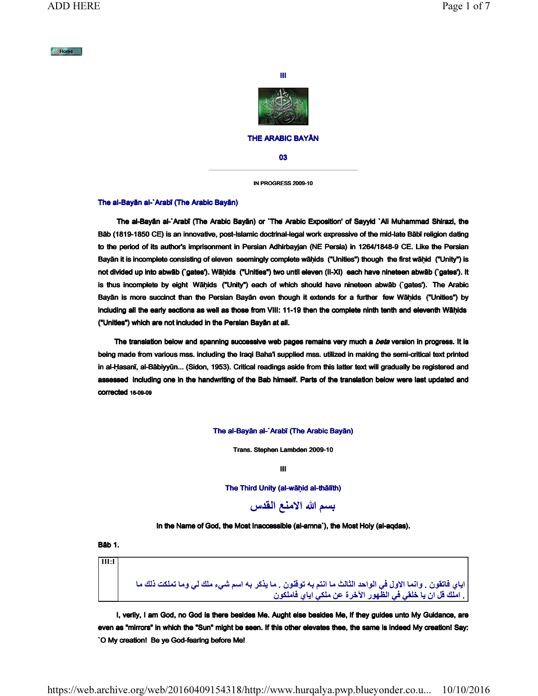# $M$  Home



# THE ARABIC BAYĀN

03

IN PROGRESS 2009-10

## The al-Bayān al-`Arabī (The Arabic Bayān)

 The al-Bayān al-`Arabī (The Arabic Bayān) or `The Arabic Exposition' of Sayyid `Ali Muhammad Shirazi, the Bāb (1819-1850 CE) is an innovative, post-Islamic doctrinal-legal work expressive of the mid-late Bābī religion dating to the period of its author's imprisonment in Persian Adhirbayjan (NE Persia) in 1264/1848-9 CE. Like the Persian Bayān it is incomplete consisting of eleven seemingly complete wāḥids ("Unities") though the first wāḥid ("Unity") is not divided up into abwāb (`gates'). Wāḥids ("Unities") two until eleven (II-XI) each have nineteen abwāb (`gates'). It is thus incomplete by eight Wāḥids ("Unity") each of which should have nineteen abwāb (`gates'). The Arabic Bayān is more succinct than the Persian Bayān even though it extends for a further few Wāḥids ("Unities") by including all the early sections as well as those from VIII: 11-19 then the complete ninth tenth and eleventh Wāḥids ("Unities") which are not included in the Persian Bayān at all.

The translation below and spanning successive web pages remains very much a beta version in progress. It is being made from various mss. including the Iraqi Baha'i supplied mss. utilized in making the semi-critical text printed in al-Ḥasanī, al-Bābiyyūn... (Sidon, 1953). Critical readings aside from this latter text will gradually be registered and assessed including one in the handwriting of the Bab himself. Parts of the translation below were last updated and corrected 16-09-09

#### The al-Bayān al-`Arabī (The Arabic Bayān)

Trans. Stephen Lambden 2009-10

III

The Third Unity (al-wāhid al-thālīth)

بسم الله الامنع القدس



Bāb 1.

III:I اياي فاتقون . وانما الاول في الواحد الثالث ما انتم به توقنون . ما يذكر به اسم شيء ملك لي وما تملكت ذلك ما . املك قل ان يا خلقي في الظهور الآخرة عن ملكي اياي فاملكون

 I, verily, I am God, no God is there besides Me. Aught else besides Me, if they guides unto My Guidance, are even as "mirrors" in which the "Sun" might be seen. If this other elevates thee, the same is indeed My creation! Say: `O My creation! Be ye God-fearing before Me!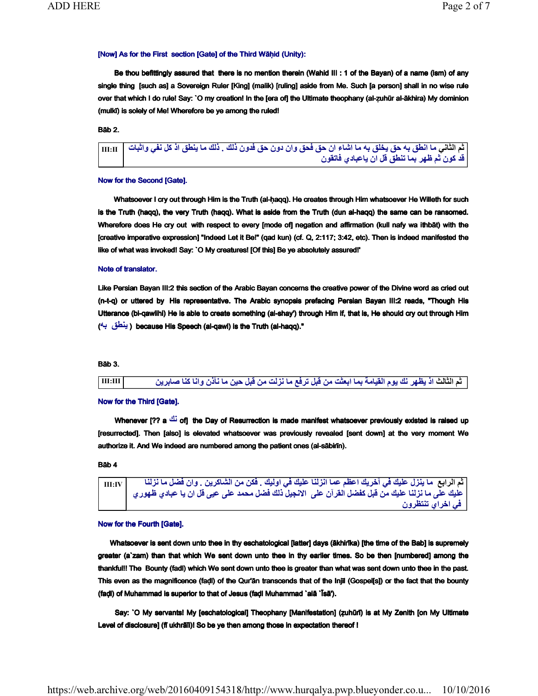# [Now] As for the First section [Gate] of the Third Wāḥid (Unity):

 Be thou befittingly assured that there is no mention therein (Wahid III : 1 of the Bayan) of a name (ism) of any single thing [such as] a Sovereign Ruler [King] (malik) [ruling] aside from Me. Such [a person] shall in no wise rule over that which I do rule! Say: `O my creation! In the [era of] the Ultimate theophany (al-ẓuhūr al-ākhira) My dominion (mulkī) is solely of Me! Wherefore be ye among the ruled!

Bāb 2.

ثم الثاني ما انطق به حق يخلق به ما اشاء ان حق فحق وان دون حق فدون ذلك . ذلك ما ينطق اذ كل نفي واثبات |  $_{\rm{III:II}}$ قد كون ثم ظهر بما تنطق قل ان ياعبادي فاتقون

#### Now for the Second [Gate].

Whatsoever I cry out through Him is the Truth (al-haqq). He creates through Him whatsoever He Willeth for such is the Truth (haqq), the very Truth (haqq). What is aside from the Truth (dun al-haqq) the same can be ransomed. Wherefore does He cry out with respect to every [mode of] negation and affirmation (kull nafy wa ithbāt) with the [creative imperative expression] "Indeed Let it Be!" (qad kun) (cf. Q, 2:117; 3:42, etc). Then is indeed manifested the like of what was invoked! Say: `O My creatures! [Of this] Be ye absolutely assured!'

## Note of translator.

Like Persian Bayan III:2 this section of the Arabic Bayan concerns the creative power of the Divine word as cried out (n-t-q) or uttered by His representative. The Arabic synopsis prefacing Persian Bayan III:2 reads, "Though His Utterance (bi-qawlihi) He is able to create something (al-shay') through Him if, that is, He should cry out through Him ( ق هب طني( because His Speech (al-qawl) is the Truth (al-haqq)."

# Bāb 3.

ثلاثلا مث ذا لبق نم تثعبا امب ةمايقلا موي كن رهظي انك انا ص نيح لبق نم تلزن ام عفرت و نذأن ام نيربا III:III

# Now for the Third [Gate].

Whenever [?? a نَك of] the Day of Resurrection is made manifest whatsoever previously existed is raised up [resurrected]. Then [also] is elevated whatsoever was previously revealed [sent down] at the very moment We authorize it. And We indeed are numbered among the patient ones (al-sābirīn).

# Bāb 4

ثم الرابع ما ينزل عليك في آخريك اعظم عما انزلنا عليك في اوليك . فكن من الشاكرين . وان فضل ما نزلنا | III:IV م سبب كيل من كيل .<br>عليك على ما نزلنا عليك من قبل كفضل القرآن على الآنجيل ذلك فضل محمد على عيى قل آن يا عبادي ظهوري في اخراي تنتظرون

## Now for the Fourth [Gate].

Whatsoever is sent down unto thee in thy eschatological [latter] days (ākhirīka) [the time of the Bab] is supremely greater (a`zam) than that which We sent down unto thee in thy earlier times. So be then [numbered] among the thankful!! The Bounty (fadl) which We sent down unto thee is greater than what was sent down unto thee in the past. This even as the magnificence (faḍl) of the Qur'ān transcends that of the Injīl (Gospel[s]) or the fact that the bounty (faḍl) of Muhammad is superior to that of Jesus (faḍl Muhammad `alā `Īsā').

 Say: `O My servants! My [eschatological] Theophany [Manifestation] (ẓuhūrī) is at My Zenith [on My Ultimate Level of disclosure] (fī ukhrāīi)! So be ye then among those in expectation thereof !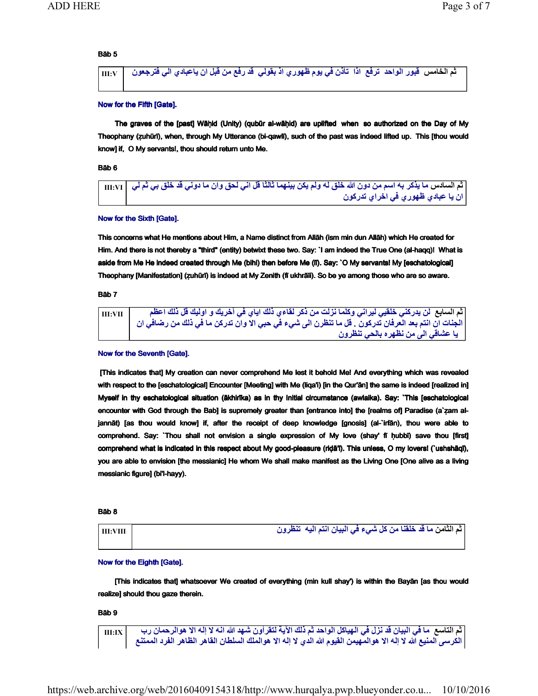# Bāb 5

ماخلا مث س دحاولا روبق عفرت اذا نذأت موي يف يلوقب ذا ي وعجرتف ي روهظ نا لبق نم عفر دق لا يدابعاي ن V:III

#### Now for the Fifth [Gate].

 The graves of the [past] Wāḥid (Unity) (qubūr al-wāḥid) are uplifted when so authorized on the Day of My Theophany (ẓuhūrī), when, through My Utterance (bi-qawlī), such of the past was indeed lifted up. This [thou would know] if, O My servants!, thou should return unto Me.

# Bāb 6

ثم السادس ما يذكر به اسم من دون الله خلق له ولم يكن بينهما ثالثًا قل اني لحق وان ما دوني قد خلق بي ثم لي | II:VI ان يا ع**ب**ادي **ظهو**ر ي في اخراي تدركون

## Now for the Sixth [Gate].

This concerns what He mentions about Him, a Name distinct from Allāh (ism min dun Allāh) which He created for Him. And there is not thereby a "third" (entity) betwixt these two. Say: `I am indeed the True One (al-haqq)! What is aside from Me He indeed created through Me (bihi) then before Me (lī). Say: `O My servants! My [eschatological] Theophany [Manifestation] (ẓuhūrī) is indeed at My Zenith (fī ukhrāīi). So be ye among those who are so aware.

Bāb 7



#### Now for the Seventh [Gate].

[This indicates that] My creation can never comprehend Me lest it behold Me! And everything which was revealed with respect to the [eschatological] Encounter [Meeting] with Me (liqa'i) [in the Qur'ān] the same is indeed [realized in] Myself in thy eschatological situation (ākhirīka) as in thy Initial circumstance (awlaika). Say: `This [eschatological encounter with God through the Bab] is supremely greater than [entrance into] the [realms of] Paradise (a`ẓam aljannāt) [as thou would know] if, after the receipt of deep knowledge [gnosis] (al-`irfān), thou were able to comprehend. Say: `Thou shall not envision a single expression of My love (shay' fī ḥubbī) save thou [first] comprehend what is indicated in this respect about My good-pleasure (riḍā'ī). This unless, O my lovers! (`ushshāqī), you are able to envision [the messianic] He whom We shall make manifest as the Living One [One alive as a living messianic figure] (bi'l-hayy).

### Bāb 8

مث نماثلا ي ام يلا متنا نايبلا يف ء ش لك نم انقلخ دق ه نورظنت VIII:III

#### Now for the Eighth [Gate].

 [This indicates that] whatsoever We created of everything (min kull shay') is within the Bayān [as thou would realize] should thou gaze therein.

## Bāb 9

 $_{\rm{HI:IX}}$  ما في البيان قد نزل في الهياكل الواحد ثم ذلك الآية لتقرأون شهد الله انـه لا إلـه الا هوالرحمان رب  $_{\rm{II:IX}}$ الكرسى المنيع الله لا إله الا هوالمهيمن القيوم الله الدي لا إله الا هوالملك السلطان القاهر الظاهر الفرد الممتنع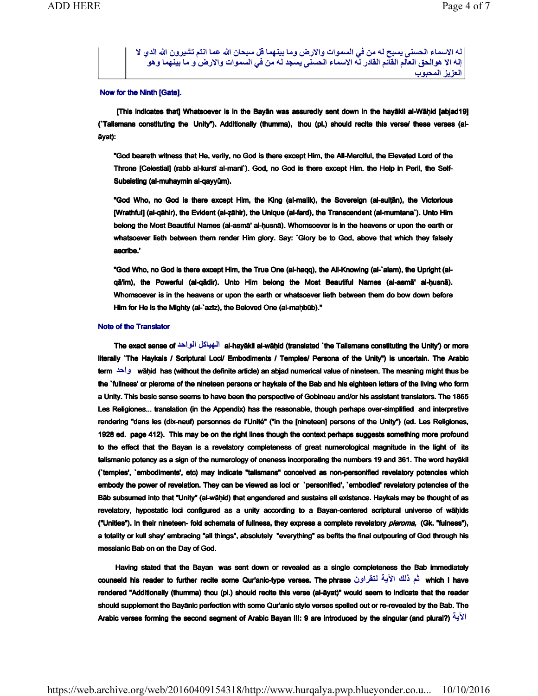له الاسماء الحسنى يسبح له من في السموات والارض وما بينهما قل سبحان الله عما انتم تشيرون الله الدي لا إله الا هوالحق العالم القائم القادر له الاسماء الحسنى يسجد له من في السموات والارض و ما بينهما وهو العزيز المحبوب

## Now for the Ninth [Gate].

 [This indicates that] Whatsoever is in the Bayān was assuredly sent down in the hayākil al-Wāḥid [abjad19] (`Talismans constituting the Unity"). Additionally (thumma), thou (pl.) should recite this verse/ these verses (alāyat):

"God beareth witness that He, verily, no God is there except Him, the All-Merciful, the Elevated Lord of the Throne [Celestial] (rabb al-kursī al-manī`). God, no God is there except Him. the Help in Peril, the Self-Subsisting (al-muhaymin al-qayyūm).

"God Who, no God is there except Him, the King (al-malik), the Sovereign (al-sulṭān), the Victorious [Wrathful] (al-qāhir), the Evident (al-ẓāhir), the Unique (al-fard), the Transcendent (al-mumtana`). Unto Him belong the Most Beautiful Names (al-asmā' al-ḥusnā). Whomsoever is in the heavens or upon the earth or whatsoever lieth between them render Him glory. Say: `Glory be to God, above that which they falsely ascribe.'

"God Who, no God is there except Him, the True One (al-haqq), the All-Knowing (al-`alam), the Upright (alqā'im), the Powerful (al-qādir). Unto Him belong the Most Beautiful Names (al-asmā' al-ḥusnā). Whomsoever is in the heavens or upon the earth or whatsoever lieth between them do bow down before Him for He is the Mighty (al-`azīz), the Beloved One (al-maḥbūb)."

#### Note of the Translator

 The exact sense of لكايهلا دحاولا al-hayākil al-wāḥid (translated `the Talismans constituting the Unity') or more literally `The Haykals / Scriptural Loci/ Embodiments / Temples/ Persona of the Unity") is uncertain. The Arabic term واحد wāhid has (without the definite article) an abjad numerical value of nineteen. The meaning might thus be the `fullness' or pleroma of the nineteen persons or haykals of the Bab and his eighteen letters of the living who form a Unity. This basic sense seems to have been the perspective of Gobineau and/or his assistant translators. The 1865 Les Religiones... translation (in the Appendix) has the reasonable, though perhaps over-simplified and interpretive rendering "dans les (dix-neuf) personnes de I'Unité" ("in the [nineteen] persons of the Unity") (ed. Les Religiones, 1928 ed. page 412). This may be on the right lines though the context perhaps suggests something more profound to the effect that the Bayan is a revelatory completeness of great numerological magnitude in the light of its talismanic potency as a sign of the numerology of oneness incorporating the numbers 19 and 361. The word hayākil (`temples', `embodiments', etc) may indicate "talismans" conceived as non-personified revelatory potencies which embody the power of revelation. They can be viewed as loci or `personified', `embodied' revelatory potencies of the Bāb subsumed into that "Unity" (al-wāḥid) that engendered and sustains all existence. Haykals may be thought of as revelatory, hypostatic loci configured as a unity according to a Bayan-centered scriptural universe of wāḥids ("Unities"). In their nineteen- fold schemata of fullness, they express a complete revelatory pleroma, (Gk. "fulness"), a totality or kull shay' embracing "all things", absolutely "everything" as befits the final outpouring of God through his messianic Bab on on the Day of God.

 Having stated that the Bayan was sent down or revealed as a single completeness the Bab immediately counseld his reader to further recite some Qur'anic-type verses. The phrase مثم فلك الآية لمتقراون which I have rendered "Additionally (thumma) thou (pl.) should recite this verse (al-āyat)" would seem to indicate that the reader should supplement the Bayānic perfection with some Qur'anic style verses spelled out or re-revealed by the Bab. The Arabic verses forming the second segment of Arabic Bayan III: 9 are introduced by the singular (and plural?) ةيلآا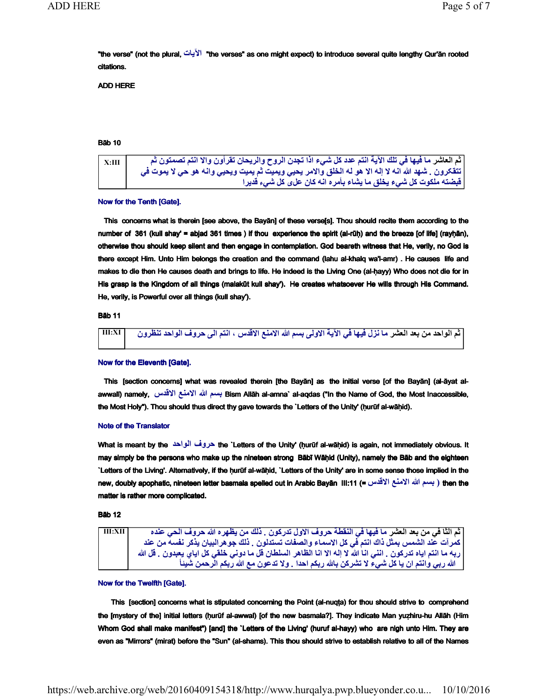"the verse" (not the plural, تايلآا " the verses" as one might expect) to introduce several quite lengthy Qur'ān rooted citations.

ADD HERE

# Bāb 10

 $_{\rm X:III}$  أشر ما فيها في تلك الآية انتم عدد كل شيء اذا تجدن الروح والريحان تقرأون والا انتم تصمتون ثم تتقكرون . شـهد الله انـه لا إلـه الا هو لـه الـخلق والامر يـحيي ويميت ثم يميت ويحيي وانـه هو حي لا يموت في قبضته ملكوت كل شيء يخلق ما يشاء بأمره انه كان على كل شيء قديرا

## Now for the Tenth [Gate].

This concerns what is therein [see above, the Bayān] of these verse[s]. Thou should recite them according to the number of 361 (kull shay' = abjad 361 times) if thou experience the spirit (al-rūh) and the breeze [of life] (rayhān), otherwise thou should keep silent and then engage in contemplation. God beareth witness that He, verily, no God is there except Him. Unto Him belongs the creation and the command (lahu al-khalq wa'l-amr) . He causes life and makes to die then He causes death and brings to life. He indeed is the Living One (al-ḥayy) Who does not die for in His grasp is the Kingdom of all things (malakūt kull shay'). He creates whatsoever He wills through His Command. He, verily, is Powerful over all things (kull shay').

Bāb 11

شعلا دعب نم دحاولا مث ر مسب ىلولاا ةيلآا يف اهيف لزن ام الله دقلاا عنملاا س متنا ، ف ورظنت ورح ىلا دحاولا ن XI:III

# Now for the Eleventh [Gate].

 This [section concerns] what was revealed therein [the Bayān] as the initial verse [of the Bayān] (al-āyat alawwalī) namely, بسم الله الامنع الاقلس Bism Allāh al-amna` al-aqdas ("In the Name of God, the Most Inaccessible, the Most Holy"). Thou should thus direct thy gave towards the `Letters of the Unity' (hurūf al-wāhid).

## Note of the Translator

What is meant by the دحاولا ف ورح the `Letters of the Unity' (ḥurūf al-wāḥid) is again, not immediately obvious. It may simply be the persons who make up the nineteen strong Bābī Wāḥid (Unity), namely the Bāb and the eighteen `Letters of the Living'. Alternatively, if the ḥurūf al-wāḥid, `Letters of the Unity' are in some sense those implied in the new, doubly apophatic, nineteen letter basmala spelled out in Arabic Bayān III:11 (= سم الله الأمنع الأقلس =) then the matter is rather more complicated.

Bāb 12

ثم الثا في من بعد العشر ما فيها في النقطة حروف الاول تدركون . ذلك من يظهره الله حروف الحي عنده III:XII | كمرآت عند الشمس بمثّل ذاك انتم فّي كل الاسماء والصّفات تستدلون . ذلك جوهرالبيان يذّكر نفسه من عند ربه ما انتم اياه تدركون . انني انـاً الله لا إلـه الا انـا الظـاهر السلطان قل مـا دونـي خلقي كل اياي يعبدون . قل الله الله ربي وانتم ان يا كل شيء لا تشركن بالله ربكم احدا . ولا تدعون مع الله ربكم الرحمن شيئاً

## Now for the Twelfth [Gate].

This [section] concerns what is stipulated concerning the Point (al-nuqṭa) for thou should strive to comprehend the [mystery of the] initial letters (ḥurūf al-awwal) [of the new basmala?]. They indicate Man yuẓhiru-hu Allāh (Him Whom God shall make manifest") [and] the `Letters of the Living' (huruf al-hayy) who are nigh unto Him. They are even as "Mirrors" (mirat) before the "Sun" (al-shams). This thou should strive to establish relative to all of the Names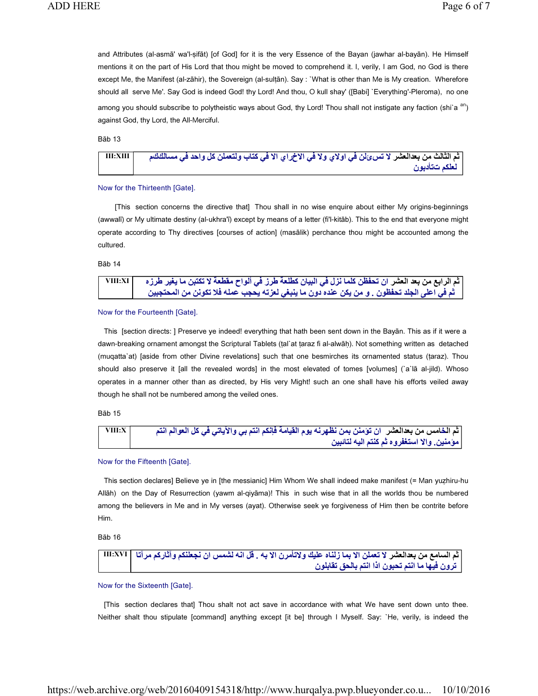and Attributes (al-asmā' wa'l-ṣifāt) [of God] for it is the very Essence of the Bayan (jawhar al-bayān). He Himself mentions it on the part of His Lord that thou might be moved to comprehend it. I, verily, I am God, no God is there except Me, the Manifest (al-zāhir), the Sovereign (al-sultān). Say : `What is other than Me is My creation. Wherefore should all serve Me'. Say God is indeed God! thy Lord! And thou, O kull shay' ([Babi] `Everything'-Pleroma), no one among you should subscribe to polytheistic ways about God, thy Lord! Thou shall not instigate any faction (shi`a <sup>an</sup>) against God, thy Lord, the All-Merciful.

Bāb 13

شعلادعب نم ثلاثلا مث ر س ت لا ئ نل لاو يلاوا يف لاا يف خ لك نلمعتلو باتك يف لاا يار حاو د يف كلاس م ك م XIII:III نوبدأتت مكلعل

## Now for the Thirteenth [Gate].

 [This section concerns the directive that] Thou shall in no wise enquire about either My origins-beginnings (awwalī) or My ultimate destiny (al-ukhra'ī) except by means of a letter (fi'l-kitāb). This to the end that everyone might operate according to Thy directives [courses of action] (masālik) perchance thou might be accounted among the cultured.

Bāb 14

| VIII:XI | ثم الرابع من بعد العشر ان تحفظن كلما نزل في البيان كطلعة طرز في ألواح مقطعة لا تكتبن ما يغير طرزه |
|---------|---------------------------------------------------------------------------------------------------|
|         | ثم في اعلى الجلد تحفظون   و من يكن عنده دون ما ينبغي لعزته يحجب عمله فلا تكونن من المحتجبين       |

#### Now for the Fourteenth [Gate].

 This [section directs: ] Preserve ye indeed! everything that hath been sent down in the Bayān. This as if it were a dawn-breaking ornament amongst the Scriptural Tablets (ṭal`at ṭaraz fi al-alwāḥ). Not something written as detached (muqatta`at) [aside from other Divine revelations] such that one besmirches its ornamented status (ṭaraz). Thou should also preserve it [all the revealed words] in the most elevated of tomes [volumes] (`a`lā al-jild). Whoso operates in a manner other than as directed, by His very Might! such an one shall have his efforts veiled away though he shall not be numbered among the veiled ones.

## Bāb 15



## Now for the Fifteenth [Gate].

 This section declares] Believe ye in [the messianic] Him Whom We shall indeed make manifest (= Man yuẓhiru-hu Allāh) on the Day of Resurrection (yawm al-qiyāma)! This in such wise that in all the worlds thou be numbered among the believers in Me and in My verses (ayat). Otherwise seek ye forgiveness of Him then be contrite before Him.

Bāb 16

شعلادعب نم عماسلا مث ر مس لا امب لاا نلمعت هب لاا نرمأتلاو كيلع هانلز . نا شل هنا لق نلعجن مك اتآرم مكراثآو XVI:III حلاب متنا اذا نوبحت متنا ام اهيف نورت نولباقت ق

Now for the Sixteenth [Gate].

 [This section declares that] Thou shalt not act save in accordance with what We have sent down unto thee. Neither shalt thou stipulate [command] anything except [it be] through I Myself. Say: `He, verily, is indeed the